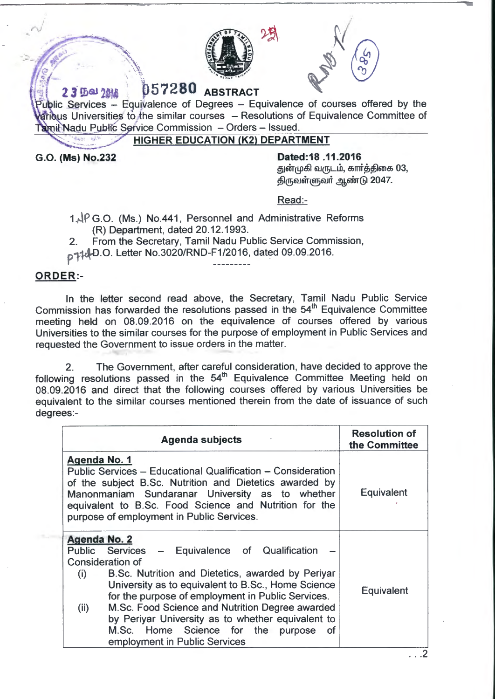



## • i **2 J ll)al 2** , . **Q 5 7 2 8 Q ABSTRACT**

 $P$ ublic Services - Equivalence of Degrees - Equivalence of courses offered by the  $\frac{1}{2}$  Universities to the similar courses  $-$  Resolutions of Equivalence Committee of Tamil Nadu Public Service Commission - Orders - Issued.

**HIGHER EDUCATION (K2) DEPARTMENT** 

**G.O. (Ms) No.232** 

**Dated:18 .11.2016** 

துன்முகி வருடம், கார்த்திகை 03, திருவள்ளுவர் ஆண்டு 2047.

Read:-

- $1.\sqrt{6}$  G.O. (Ms.) No.441, Personnel and Administrative Reforms (R) Department, dated 20.12.1993.
- 2. From the Secretary, Tamil Nadu Public Service Commission,

p1 .0. Letter No.3020/RND-F1/2016, dated 09.09.2016.

## **ORDER:-**

In the letter second read above, the Secretary, Tamil Nadu Public Service Commission has forwarded the resolutions passed in the  $54<sup>th</sup>$  Equivalence Committee meeting held on 08.09.2016 on the equivalence of courses offered by various Universities to the similar courses for the purpose of employment in Public Services and requested the Government to issue orders in the matter.

2. The Government, after careful consideration, have decided to approve the following resolutions passed in the  $54<sup>th</sup>$  Equivalence Committee Meeting held on 08.09.2016 and direct that the following courses offered by various Universities be equivalent to the similar courses mentioned therein from the date of issuance of such degrees:-

| <b>Agenda subjects</b>                                                                                                                                                                                                                                                                                                                                                                                                                                                 | <b>Resolution of</b><br>the Committee |
|------------------------------------------------------------------------------------------------------------------------------------------------------------------------------------------------------------------------------------------------------------------------------------------------------------------------------------------------------------------------------------------------------------------------------------------------------------------------|---------------------------------------|
| Agenda No. 1<br>Public Services – Educational Qualification – Consideration<br>of the subject B.Sc. Nutrition and Dietetics awarded by<br>Manonmaniam Sundaranar University as to whether<br>equivalent to B.Sc. Food Science and Nutrition for the<br>purpose of employment in Public Services.                                                                                                                                                                       | <b>Equivalent</b>                     |
| <b>Agenda No. 2</b><br>Public Services - Equivalence of Qualification<br><b>Consideration of</b><br>B.Sc. Nutrition and Dietetics, awarded by Periyar<br>(i)<br>University as to equivalent to B.Sc., Home Science<br>for the purpose of employment in Public Services.<br>M.Sc. Food Science and Nutrition Degree awarded<br>(ii)<br>by Periyar University as to whether equivalent to<br>M.Sc. Home Science for the purpose<br>- ot<br>employment in Public Services | Equivalent                            |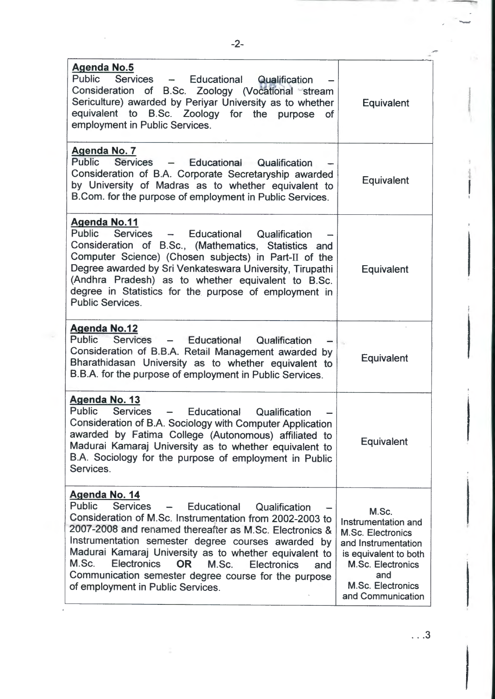| <b>Agenda No.5</b><br>Public<br>Services - Educational Qualification<br>Consideration of B.Sc. Zoology (Vocational stream<br>Sericulture) awarded by Periyar University as to whether<br>equivalent to B.Sc. Zoology for the purpose<br><b>of</b><br>employment in Public Services.                                                                                                                                                                                                                                          | Equivalent                                                                                                                                                                            |
|------------------------------------------------------------------------------------------------------------------------------------------------------------------------------------------------------------------------------------------------------------------------------------------------------------------------------------------------------------------------------------------------------------------------------------------------------------------------------------------------------------------------------|---------------------------------------------------------------------------------------------------------------------------------------------------------------------------------------|
| Agenda No. 7<br>Public<br><b>Services</b><br>- Educational Qualification<br>Consideration of B.A. Corporate Secretaryship awarded<br>by University of Madras as to whether equivalent to<br>B.Com. for the purpose of employment in Public Services.                                                                                                                                                                                                                                                                         | Equivalent                                                                                                                                                                            |
| <b>Agenda No.11</b><br>Public<br>Services - Educational Qualification<br>Consideration of B.Sc., (Mathematics, Statistics and<br>Computer Science) (Chosen subjects) in Part-II of the<br>Degree awarded by Sri Venkateswara University, Tirupathi<br>(Andhra Pradesh) as to whether equivalent to B.Sc.<br>degree in Statistics for the purpose of employment in<br><b>Public Services.</b>                                                                                                                                 | <b>Equivalent</b>                                                                                                                                                                     |
| <b>Agenda No.12</b><br><b>Public</b><br>Services<br>- Educational<br>Qualification<br>Consideration of B.B.A. Retail Management awarded by<br>Bharathidasan University as to whether equivalent to<br>B.B.A. for the purpose of employment in Public Services.                                                                                                                                                                                                                                                               | Equivalent                                                                                                                                                                            |
| Agenda No. 13<br><b>Public</b><br><b>Services</b><br>Educational<br>Qualification<br>$\sim$ $\sim$<br>Consideration of B.A. Sociology with Computer Application<br>awarded by Fatima College (Autonomous) affiliated to<br>Madurai Kamaraj University as to whether equivalent to<br>B.A. Sociology for the purpose of employment in Public<br>Services.                                                                                                                                                                     | <b>Equivalent</b>                                                                                                                                                                     |
| Agenda No. 14<br><b>Public</b><br><b>Services</b><br>Educational<br>Qualification<br>$\hspace{0.05cm}$<br>Consideration of M.Sc. Instrumentation from 2002-2003 to<br>2007-2008 and renamed thereafter as M.Sc. Electronics &<br>Instrumentation semester degree courses awarded by<br>Madurai Kamaraj University as to whether equivalent to<br>M.Sc.<br><b>Electronics</b><br><b>OR</b><br>M.Sc.<br><b>Electronics</b><br>and<br>Communication semester degree course for the purpose<br>of employment in Public Services. | M.Sc.<br>Instrumentation and<br><b>M.Sc. Electronics</b><br>and Instrumentation<br>is equivalent to both<br>M.Sc. Electronics<br>and<br><b>M.Sc. Electronics</b><br>and Communication |

... 3

-